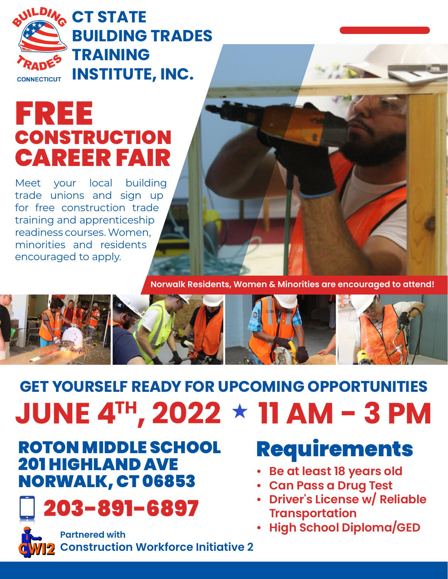

## FREE **CONSTRUCTION** CAREER FAIR

Meet your local building trade unions and sign up for free construction trade training and apprenticeship readiness courses. Women, minorities and residents encouraged to apply.



**Norwalk Residents, Women & Minorities are encouraged to attend!**



# **GET YOURSELF READY FOR UPCOMING OPPORTUNITIES JUNE 4™, 2022 ★ 11 AM - 3 PM**

### ROTON MIDDLE SCHOOL 201 HIGHLAND AVE NORWALK, CT 06853



**Construction Workforce Initiative 2**

# Requirements

- **• Be at least 18 years old**
- **• Can Pass a Drug Test**
- **• Driver's License w/ Reliable Transportation**
- **• High School Diploma/GED Partnered with**